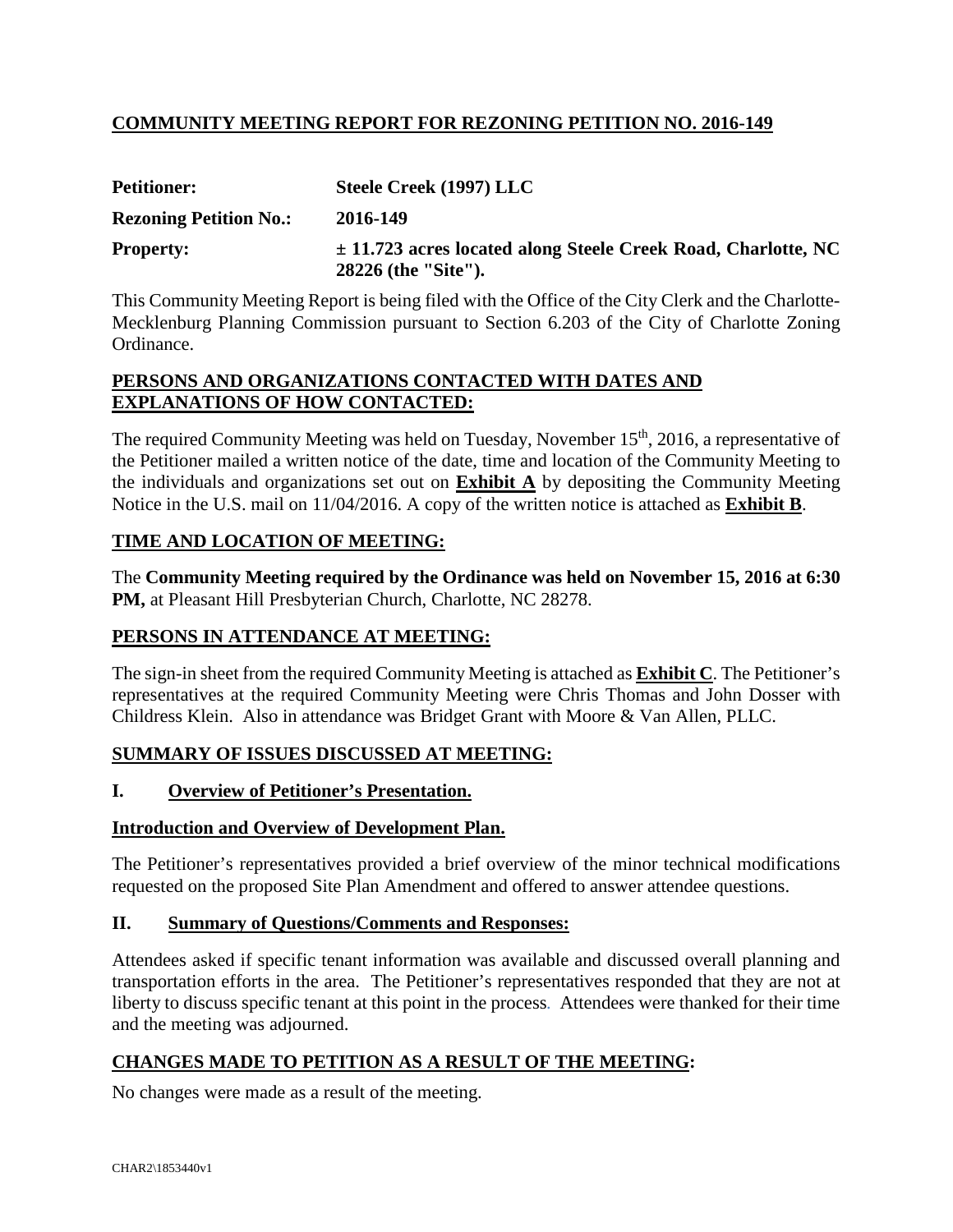# **COMMUNITY MEETING REPORT FOR REZONING PETITION NO. 2016-149**

| <b>Petitioner:</b>            | Steele Creek (1997) LLC                                                                  |
|-------------------------------|------------------------------------------------------------------------------------------|
| <b>Rezoning Petition No.:</b> | 2016-149                                                                                 |
| <b>Property:</b>              | $\pm$ 11.723 acres located along Steele Creek Road, Charlotte, NC<br>28226 (the "Site"). |

This Community Meeting Report is being filed with the Office of the City Clerk and the Charlotte-Mecklenburg Planning Commission pursuant to Section 6.203 of the City of Charlotte Zoning Ordinance.

#### **PERSONS AND ORGANIZATIONS CONTACTED WITH DATES AND EXPLANATIONS OF HOW CONTACTED:**

The required Community Meeting was held on Tuesday, November 15<sup>th</sup>, 2016, a representative of the Petitioner mailed a written notice of the date, time and location of the Community Meeting to the individuals and organizations set out on **Exhibit A** by depositing the Community Meeting Notice in the U.S. mail on 11/04/2016. A copy of the written notice is attached as **Exhibit B**.

## **TIME AND LOCATION OF MEETING:**

The **Community Meeting required by the Ordinance was held on November 15, 2016 at 6:30 PM,** at Pleasant Hill Presbyterian Church, Charlotte, NC 28278.

## **PERSONS IN ATTENDANCE AT MEETING:**

The sign-in sheet from the required Community Meeting is attached as **Exhibit C**. The Petitioner's representatives at the required Community Meeting were Chris Thomas and John Dosser with Childress Klein. Also in attendance was Bridget Grant with Moore & Van Allen, PLLC.

## **SUMMARY OF ISSUES DISCUSSED AT MEETING:**

## **I. Overview of Petitioner's Presentation.**

## **Introduction and Overview of Development Plan.**

The Petitioner's representatives provided a brief overview of the minor technical modifications requested on the proposed Site Plan Amendment and offered to answer attendee questions.

## **II. Summary of Questions/Comments and Responses:**

Attendees asked if specific tenant information was available and discussed overall planning and transportation efforts in the area. The Petitioner's representatives responded that they are not at liberty to discuss specific tenant at this point in the process*.* Attendees were thanked for their time and the meeting was adjourned.

## **CHANGES MADE TO PETITION AS A RESULT OF THE MEETING:**

No changes were made as a result of the meeting.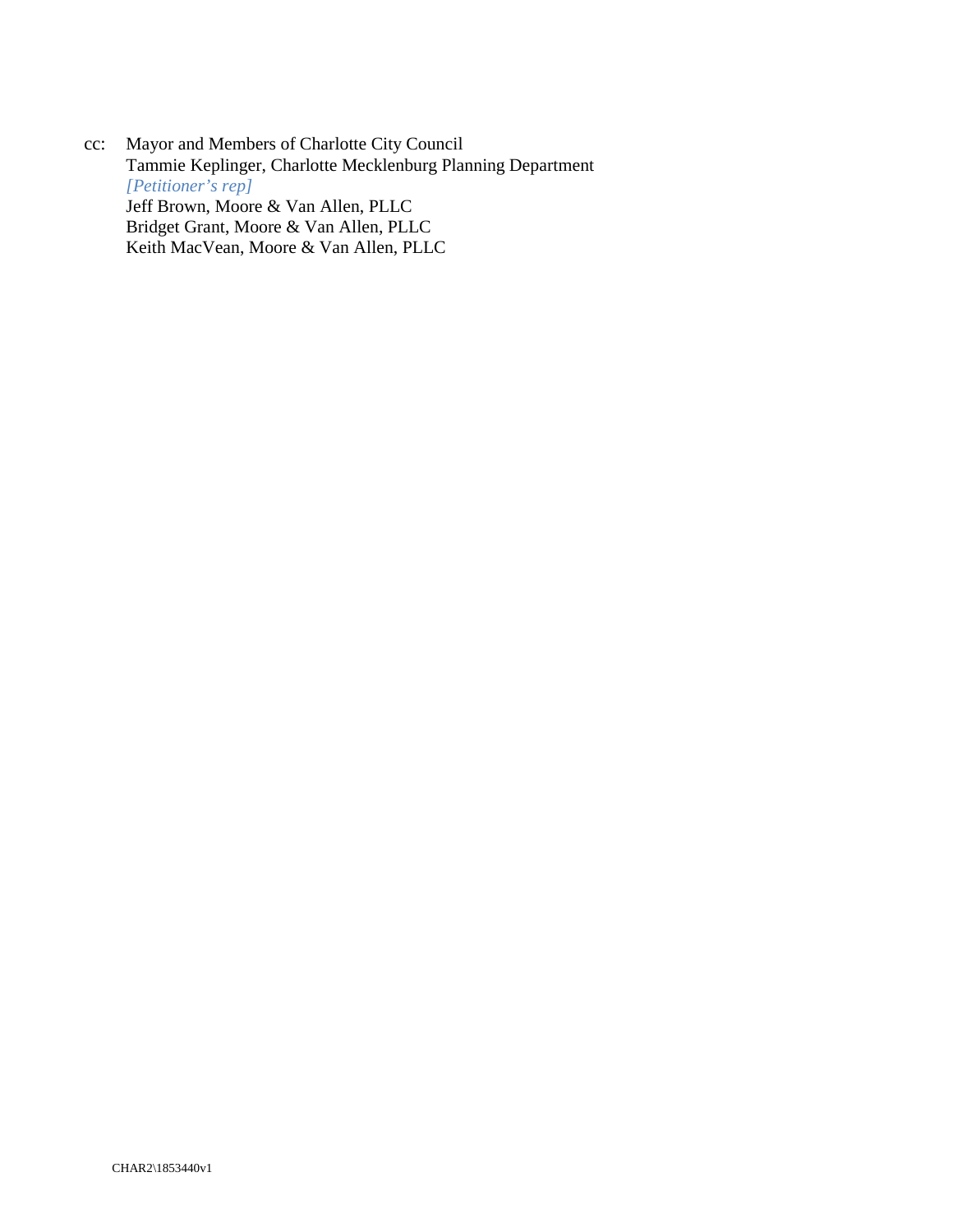cc: Mayor and Members of Charlotte City Council Tammie Keplinger, Charlotte Mecklenburg Planning Department *[Petitioner's rep]* Jeff Brown, Moore & Van Allen, PLLC Bridget Grant, Moore & Van Allen, PLLC Keith MacVean, Moore & Van Allen, PLLC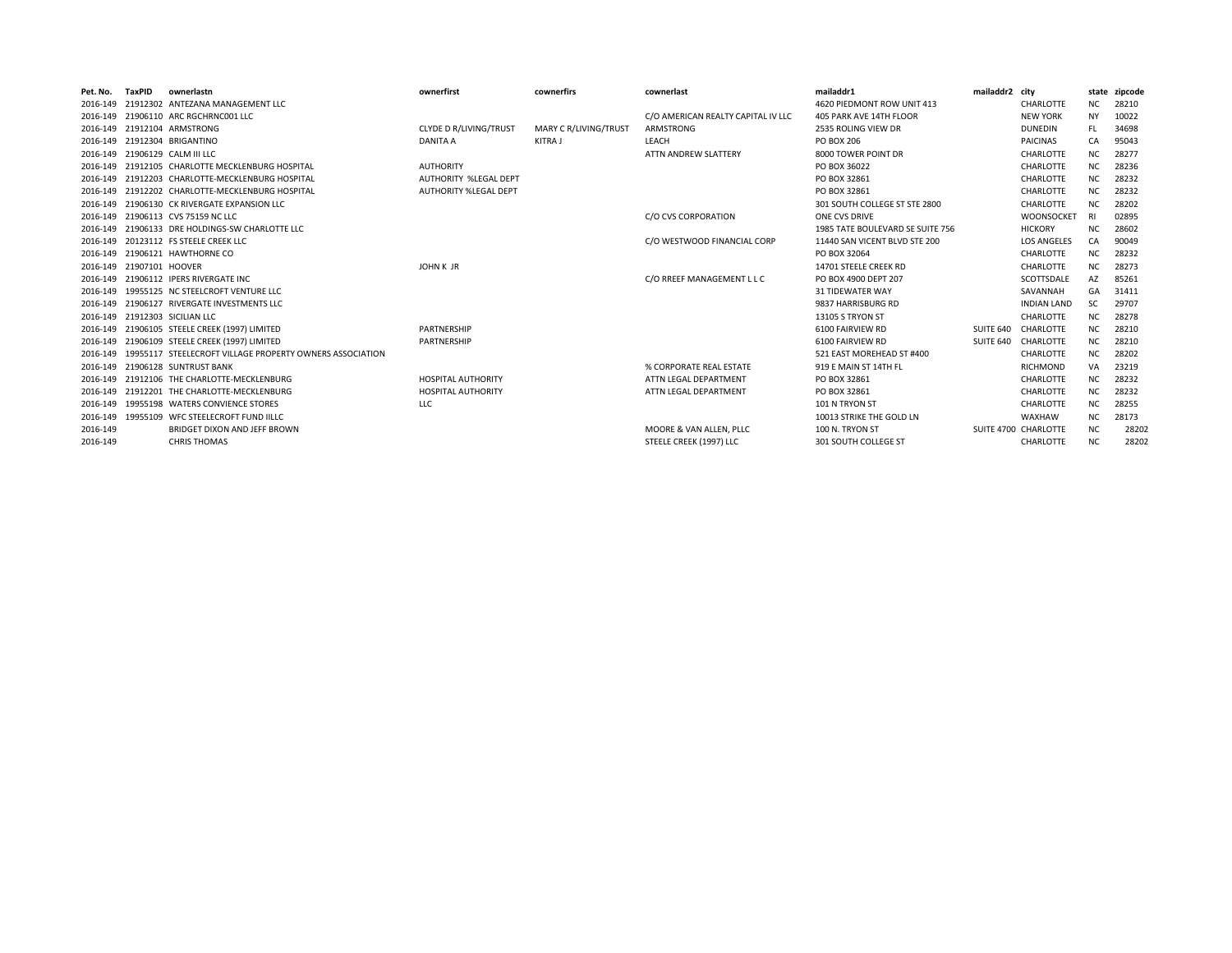| Pet. No. | TaxPID          | ownerlastn                                               | ownerfirst                    | cownerfirs            | cownerlast                         | mailaddr1                        | mailaddr2 city |                      |           | state zipcode |
|----------|-----------------|----------------------------------------------------------|-------------------------------|-----------------------|------------------------------------|----------------------------------|----------------|----------------------|-----------|---------------|
| 2016-149 |                 | 21912302 ANTEZANA MANAGEMENT LLC                         |                               |                       |                                    | 4620 PIEDMONT ROW UNIT 413       |                | CHARLOTTE            | NC.       | 28210         |
| 2016-149 |                 | 21906110 ARC RGCHRNC001 LLC                              |                               |                       | C/O AMERICAN REALTY CAPITAL IV LLC | 405 PARK AVE 14TH FLOOR          |                | <b>NEW YORK</b>      | <b>NY</b> | 10022         |
| 2016-149 |                 | 21912104 ARMSTRONG                                       | <b>CLYDE D R/LIVING/TRUST</b> | MARY C R/LIVING/TRUST | ARMSTRONG                          | 2535 ROLING VIEW DR              |                | <b>DUNEDIN</b>       | FL.       | 34698         |
|          |                 | 2016-149 21912304 BRIGANTINO                             | <b>DANITA A</b>               | KITRA J               | LEACH                              | PO BOX 206                       |                | <b>PAICINAS</b>      | CA.       | 95043         |
| 2016-149 |                 | 21906129 CALM III LLC                                    |                               |                       | ATTN ANDREW SLATTERY               | 8000 TOWER POINT DR              |                | CHARLOTTE            | ΝC        | 28277         |
| 2016-149 |                 | 21912105 CHARLOTTE MECKLENBURG HOSPITAL                  | <b>AUTHORITY</b>              |                       |                                    | PO BOX 36022                     |                | CHARLOTTE            | NC.       | 28236         |
| 2016-149 |                 | 21912203 CHARLOTTE-MECKLENBURG HOSPITAL                  | <b>AUTHORITY %LEGAL DEPT</b>  |                       |                                    | PO BOX 32861                     |                | CHARLOTTE            | NC        | 28232         |
| 2016-149 |                 | 21912202 CHARLOTTE-MECKLENBURG HOSPITAL                  | <b>AUTHORITY %LEGAL DEPT</b>  |                       |                                    | PO BOX 32861                     |                | CHARLOTTE            | NC.       | 28232         |
| 2016-149 |                 | 21906130 CK RIVERGATE EXPANSION LLC                      |                               |                       |                                    | 301 SOUTH COLLEGE ST STE 2800    |                | CHARLOTTE            | NC.       | 28202         |
| 2016-149 |                 | 21906113 CVS 75159 NC LLC                                |                               |                       | C/O CVS CORPORATION                | ONE CVS DRIVE                    |                | <b>WOONSOCKET</b>    | - RI      | 02895         |
| 2016-149 |                 | 21906133 DRE HOLDINGS-SW CHARLOTTE LLC                   |                               |                       |                                    | 1985 TATE BOULEVARD SE SUITE 756 |                | <b>HICKORY</b>       | NC        | 28602         |
| 2016-149 |                 | 20123112 FS STEELE CREEK LLC                             |                               |                       | C/O WESTWOOD FINANCIAL CORP        | 11440 SAN VICENT BLVD STE 200    |                | <b>LOS ANGELES</b>   | CA        | 90049         |
| 2016-149 |                 | 21906121 HAWTHORNE CO                                    |                               |                       |                                    | PO BOX 32064                     |                | CHARLOTTE            | NC.       | 28232         |
| 2016-149 | 21907101 HOOVER |                                                          | <b>JOHN K JR</b>              |                       |                                    | 14701 STEELE CREEK RD            |                | CHARLOTTE            | NC        | 28273         |
| 2016-149 |                 | 21906112 IPERS RIVERGATE INC                             |                               |                       | C/O RREEF MANAGEMENT L L C         | PO BOX 4900 DFPT 207             |                | SCOTTSDALE           | AZ        | 85261         |
| 2016-149 |                 | 19955125 NC STEELCROFT VENTURE LLC                       |                               |                       |                                    | <b>31 TIDEWATER WAY</b>          |                | SAVANNAH             | GA        | 31411         |
| 2016-149 |                 | 21906127 RIVERGATE INVESTMENTS LLC                       |                               |                       |                                    | 9837 HARRISBURG RD               |                | <b>INDIAN LAND</b>   | SC        | 29707         |
|          |                 | 2016-149 21912303 SICILIAN LLC                           |                               |                       |                                    | 13105 S TRYON ST                 |                | CHARLOTTE            | NC.       | 28278         |
| 2016-149 |                 | 21906105 STEELE CREEK (1997) LIMITED                     | PARTNERSHIP                   |                       |                                    | 6100 FAIRVIEW RD                 | SUITE 640      | CHARLOTTE            | NC.       | 28210         |
| 2016-149 |                 | 21906109 STEELE CREEK (1997) LIMITED                     | PARTNERSHIP                   |                       |                                    | 6100 FAIRVIEW RD                 | SUITE 640      | CHARLOTTE            | NC.       | 28210         |
| 2016-149 |                 | 19955117 STEELECROFT VILLAGE PROPERTY OWNERS ASSOCIATION |                               |                       |                                    | 521 EAST MOREHEAD ST #400        |                | CHARLOTTE            | NC.       | 28202         |
| 2016-149 |                 | 21906128 SUNTRUST BANK                                   |                               |                       | % CORPORATE REAL ESTATE            | 919 E MAIN ST 14TH FL            |                | <b>RICHMOND</b>      | VA        | 23219         |
| 2016-149 |                 | 21912106 THE CHARLOTTE-MECKLENBURG                       | <b>HOSPITAL AUTHORITY</b>     |                       | ATTN LEGAL DEPARTMENT              | PO BOX 32861                     |                | CHARLOTTE            | NC        | 28232         |
| 2016-149 |                 | 21912201 THE CHARLOTTE-MECKLENBURG                       | <b>HOSPITAL AUTHORITY</b>     |                       | ATTN LEGAL DEPARTMENT              | PO BOX 32861                     |                | CHARLOTTE            | NC.       | 28232         |
| 2016-149 |                 | 19955198 WATERS CONVIENCE STORES                         | <b>LLC</b>                    |                       |                                    | 101 N TRYON ST                   |                | CHARLOTTE            | NC        | 28255         |
| 2016-149 |                 | 19955109 WFC STEELECROFT FUND IILLC                      |                               |                       |                                    | 10013 STRIKE THE GOLD LN         |                | WAXHAW               | NC.       | 28173         |
| 2016-149 |                 | BRIDGET DIXON AND JEFF BROWN                             |                               |                       | MOORE & VAN ALLEN, PLLC            | 100 N. TRYON ST                  |                | SUITE 4700 CHARLOTTE | ΝC        | 28202         |
| 2016-149 |                 | <b>CHRIS THOMAS</b>                                      |                               |                       | STEELE CREEK (1997) LLC            | 301 SOUTH COLLEGE ST             |                | CHARLOTTE            | ΝC        | 28202         |
|          |                 |                                                          |                               |                       |                                    |                                  |                |                      |           |               |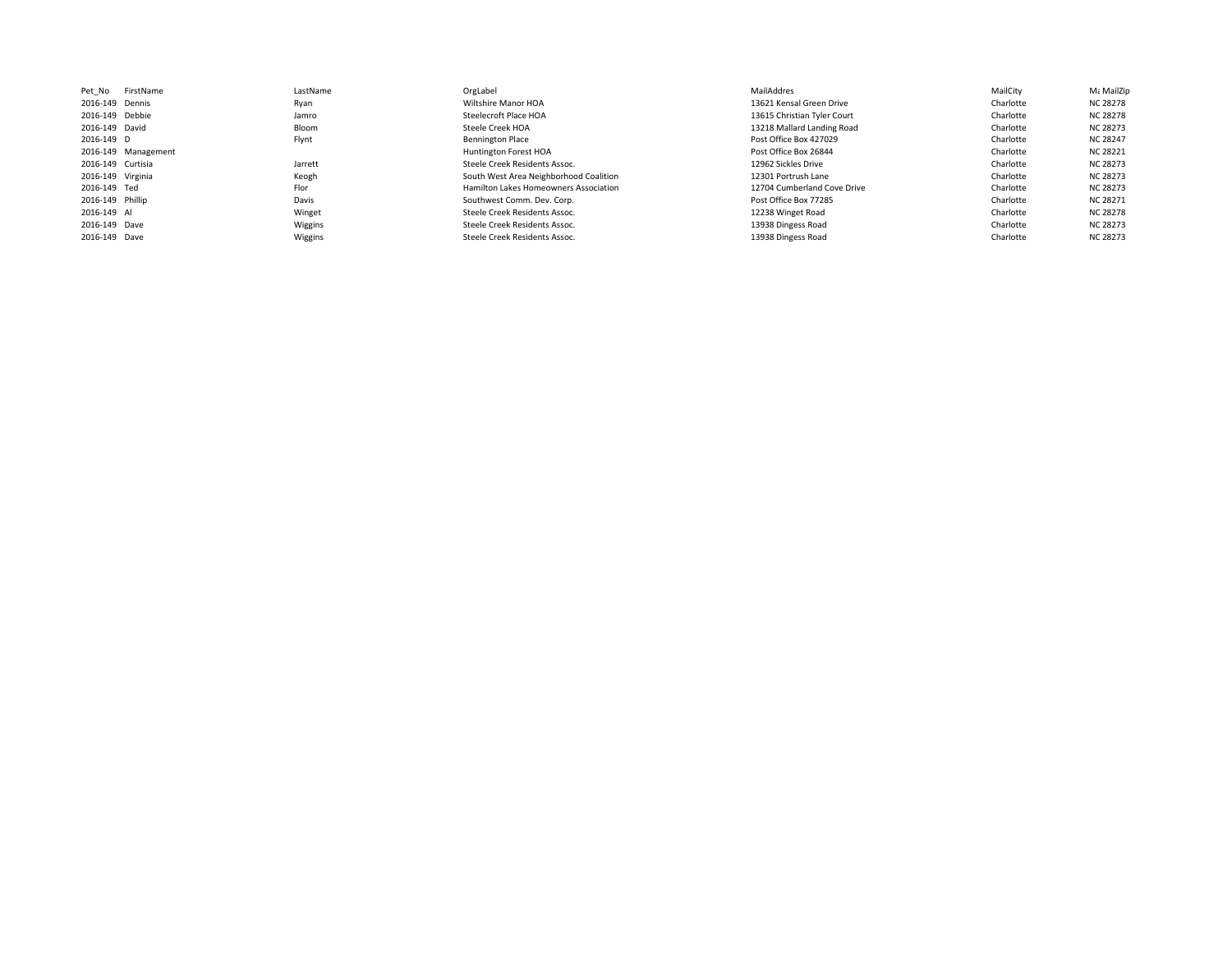| LastName                                                                                                                                                                                                                              | OrgLabel                               | MailAddres                  | MailCity  | Με MailZip      |
|---------------------------------------------------------------------------------------------------------------------------------------------------------------------------------------------------------------------------------------|----------------------------------------|-----------------------------|-----------|-----------------|
| Ryan                                                                                                                                                                                                                                  | Wiltshire Manor HOA                    | 13621 Kensal Green Drive    | Charlotte | NC 28278        |
| Jamro                                                                                                                                                                                                                                 | Steelecroft Place HOA                  | 13615 Christian Tyler Court | Charlotte | <b>NC 28278</b> |
| Bloom                                                                                                                                                                                                                                 | Steele Creek HOA                       | 13218 Mallard Landing Road  | Charlotte | <b>NC 28273</b> |
| Flynt                                                                                                                                                                                                                                 | <b>Bennington Place</b>                | Post Office Box 427029      | Charlotte | <b>NC 28247</b> |
|                                                                                                                                                                                                                                       | Huntington Forest HOA                  | Post Office Box 26844       | Charlotte | <b>NC 28221</b> |
| Jarrett                                                                                                                                                                                                                               | Steele Creek Residents Assoc.          | 12962 Sickles Drive         | Charlotte | NC 28273        |
| Keogh                                                                                                                                                                                                                                 | South West Area Neighborhood Coalition | 12301 Portrush Lane         | Charlotte | <b>NC 28273</b> |
| Flor                                                                                                                                                                                                                                  | Hamilton Lakes Homeowners Association  | 12704 Cumberland Cove Drive | Charlotte | <b>NC 28273</b> |
| Davis                                                                                                                                                                                                                                 | Southwest Comm. Dev. Corp.             | Post Office Box 77285       | Charlotte | NC 28271        |
| Winget                                                                                                                                                                                                                                | Steele Creek Residents Assoc.          | 12238 Winget Road           | Charlotte | <b>NC 28278</b> |
| Wiggins                                                                                                                                                                                                                               | Steele Creek Residents Assoc.          | 13938 Dingess Road          | Charlotte | <b>NC 28273</b> |
| Wiggins                                                                                                                                                                                                                               | Steele Creek Residents Assoc.          | 13938 Dingess Road          | Charlotte | NC 28273        |
|                                                                                                                                                                                                                                       |                                        |                             |           |                 |
| FirstName<br>2016-149 Dennis<br>2016-149 Debbie<br>2016-149 David<br>2016-149 D<br>2016-149 Management<br>2016-149 Curtisia<br>2016-149 Virginia<br>2016-149 Ted<br>2016-149 Phillip<br>2016-149 Al<br>2016-149 Dave<br>2016-149 Dave |                                        |                             |           |                 |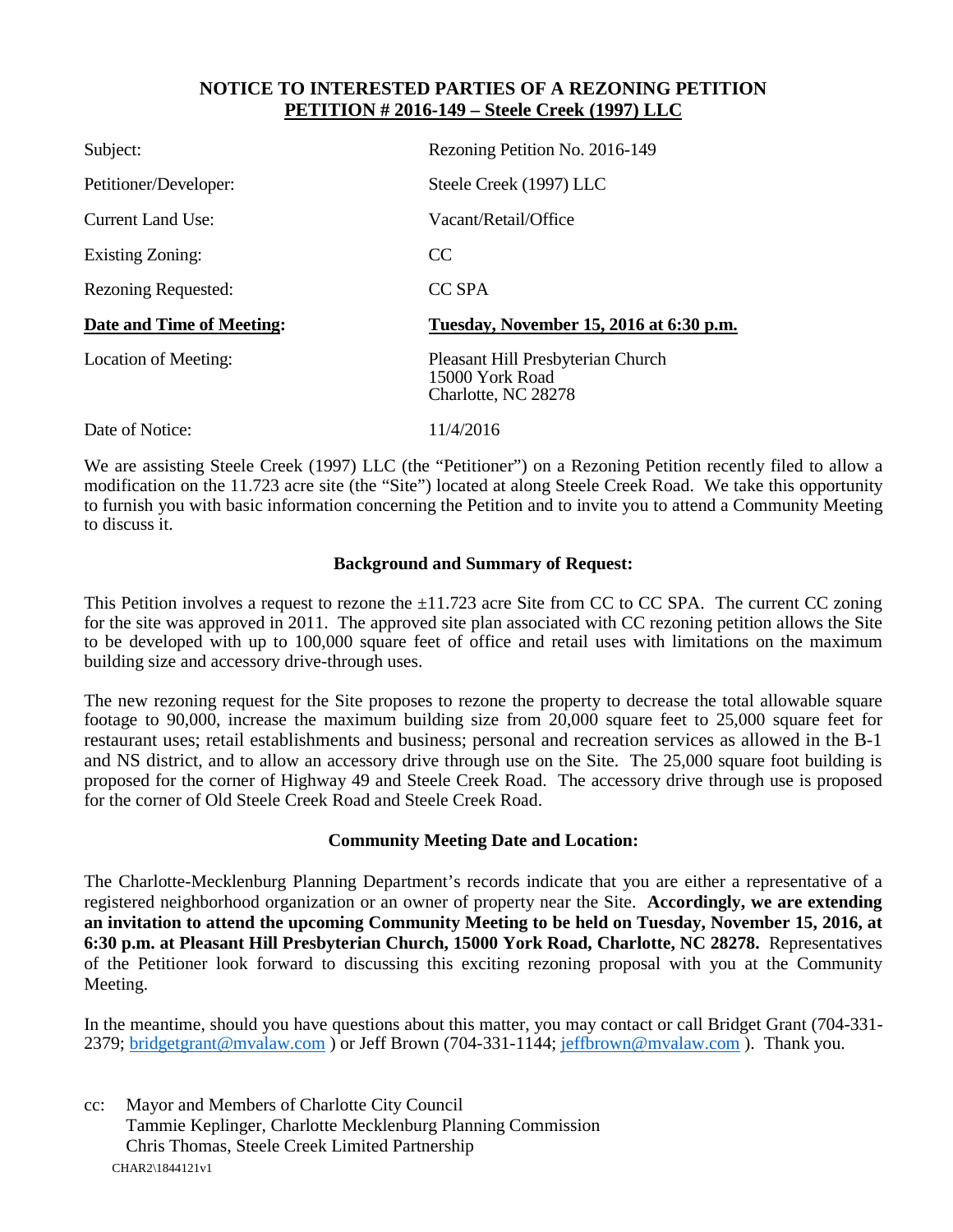#### **NOTICE TO INTERESTED PARTIES OF A REZONING PETITION PETITION # 2016-149 – Steele Creek (1997) LLC**

| Subject:                   | Rezoning Petition No. 2016-149                                              |
|----------------------------|-----------------------------------------------------------------------------|
| Petitioner/Developer:      | Steele Creek (1997) LLC                                                     |
| <b>Current Land Use:</b>   | Vacant/Retail/Office                                                        |
| Existing Zoning:           | CC.                                                                         |
| <b>Rezoning Requested:</b> | CC SPA                                                                      |
| Date and Time of Meeting:  | Tuesday, November 15, 2016 at 6:30 p.m.                                     |
| Location of Meeting:       | Pleasant Hill Presbyterian Church<br>15000 York Road<br>Charlotte, NC 28278 |
| Date of Notice:            | 11/4/2016                                                                   |

We are assisting Steele Creek (1997) LLC (the "Petitioner") on a Rezoning Petition recently filed to allow a modification on the 11.723 acre site (the "Site") located at along Steele Creek Road. We take this opportunity to furnish you with basic information concerning the Petition and to invite you to attend a Community Meeting to discuss it.

#### **Background and Summary of Request:**

This Petition involves a request to rezone the  $\pm 11.723$  acre Site from CC to CC SPA. The current CC zoning for the site was approved in 2011. The approved site plan associated with CC rezoning petition allows the Site to be developed with up to 100,000 square feet of office and retail uses with limitations on the maximum building size and accessory drive-through uses.

The new rezoning request for the Site proposes to rezone the property to decrease the total allowable square footage to 90,000, increase the maximum building size from 20,000 square feet to 25,000 square feet for restaurant uses; retail establishments and business; personal and recreation services as allowed in the B-1 and NS district, and to allow an accessory drive through use on the Site. The 25,000 square foot building is proposed for the corner of Highway 49 and Steele Creek Road. The accessory drive through use is proposed for the corner of Old Steele Creek Road and Steele Creek Road.

#### **Community Meeting Date and Location:**

The Charlotte-Mecklenburg Planning Department's records indicate that you are either a representative of a registered neighborhood organization or an owner of property near the Site. **Accordingly, we are extending an invitation to attend the upcoming Community Meeting to be held on Tuesday, November 15, 2016, at 6:30 p.m. at Pleasant Hill Presbyterian Church, 15000 York Road, Charlotte, NC 28278.** Representatives of the Petitioner look forward to discussing this exciting rezoning proposal with you at the Community Meeting.

In the meantime, should you have questions about this matter, you may contact or call Bridget Grant (704-331- 2379; bridgetgrant@mvalaw.com ) or Jeff Brown (704-331-1144; jeffbrown@mvalaw.com). Thank you.

CHAR2\1844121v1 cc: Mayor and Members of Charlotte City Council Tammie Keplinger, Charlotte Mecklenburg Planning Commission Chris Thomas, Steele Creek Limited Partnership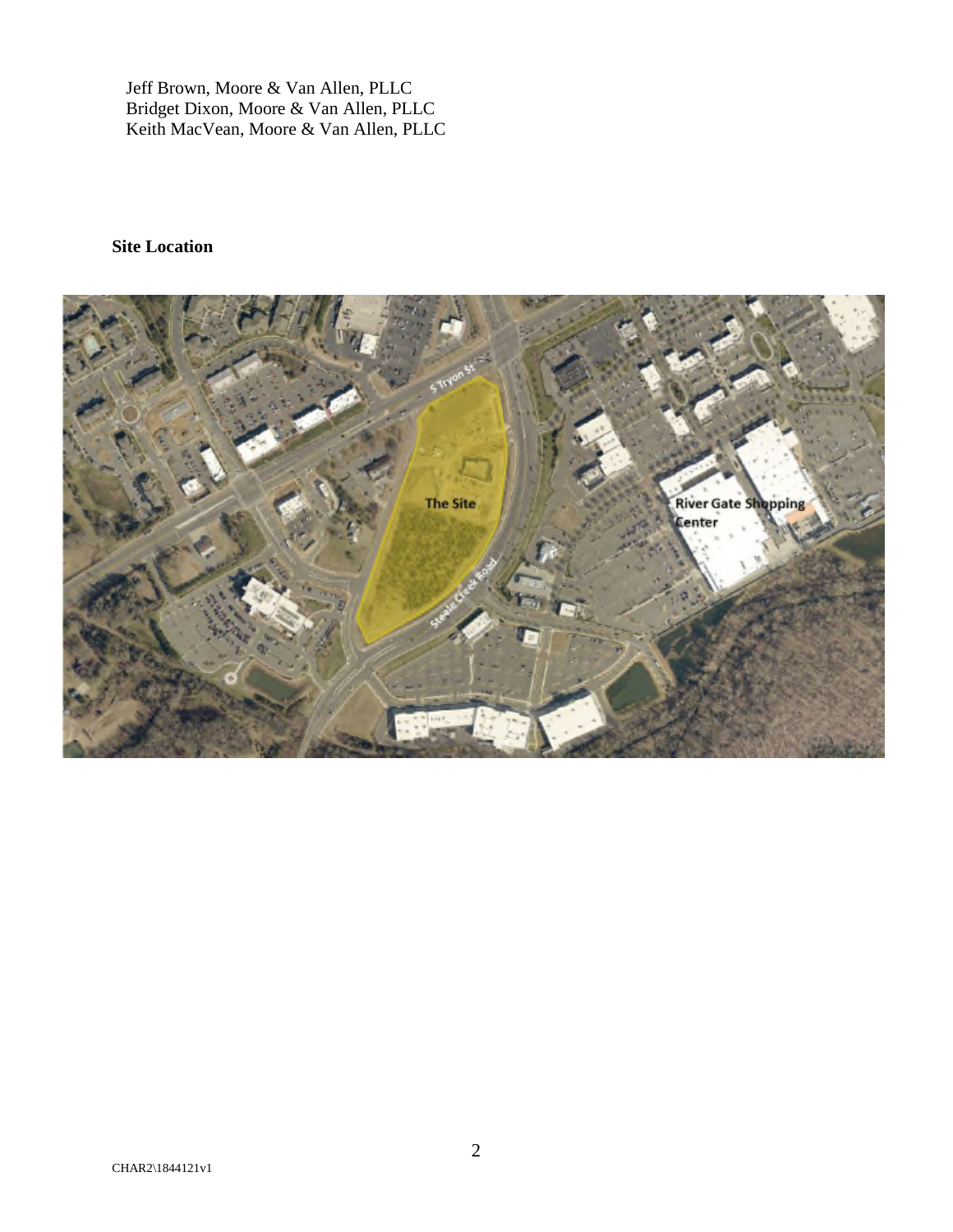Jeff Brown, Moore & Van Allen, PLLC Bridget Dixon, Moore & Van Allen, PLLC Keith MacVean, Moore & Van Allen, PLLC

# **Site Location**